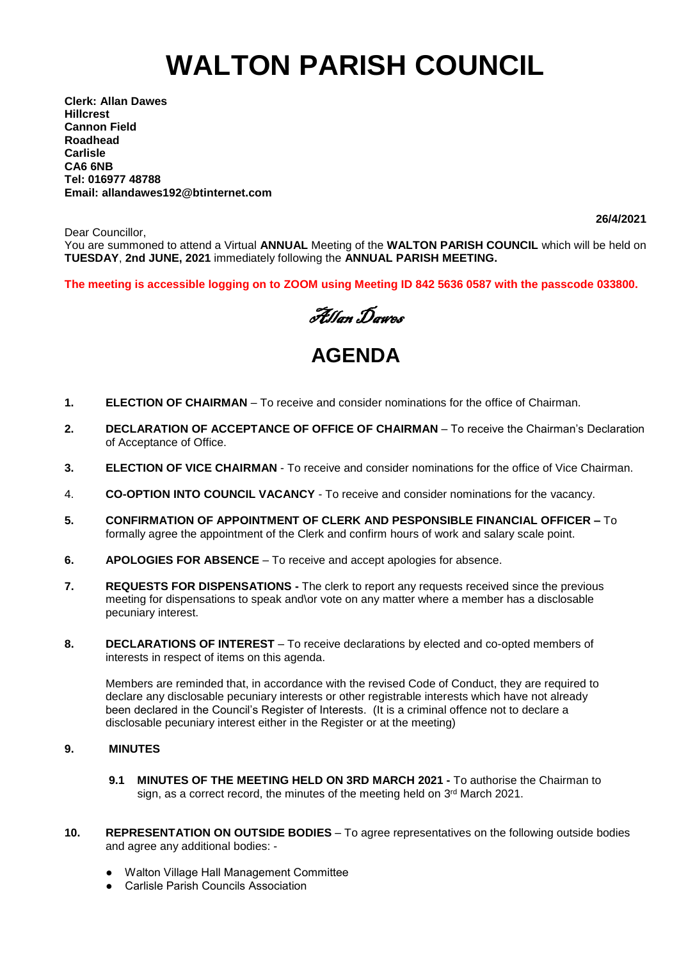# **WALTON PARISH COUNCIL**

**Clerk: Allan Dawes Hillcrest Cannon Field Roadhead Carlisle CA6 6NB Tel: 016977 48788 Email: allandawes192@btinternet.com**

**26/4/2021**

Dear Councillor, You are summoned to attend a Virtual **ANNUAL** Meeting of the **WALTON PARISH COUNCIL** which will be held on **TUESDAY**, **2nd JUNE, 2021** immediately following the **ANNUAL PARISH MEETING.**

**The meeting is accessible logging on to ZOOM using Meeting ID 842 5636 0587 with the passcode 033800.**



# **AGENDA**

- **1. ELECTION OF CHAIRMAN** To receive and consider nominations for the office of Chairman.
- **2. DECLARATION OF ACCEPTANCE OF OFFICE OF CHAIRMAN** To receive the Chairman's Declaration of Acceptance of Office.
- **3. ELECTION OF VICE CHAIRMAN** To receive and consider nominations for the office of Vice Chairman.
- 4. **CO-OPTION INTO COUNCIL VACANCY** To receive and consider nominations for the vacancy.
- **5. CONFIRMATION OF APPOINTMENT OF CLERK AND PESPONSIBLE FINANCIAL OFFICER –** To formally agree the appointment of the Clerk and confirm hours of work and salary scale point.
- **6. APOLOGIES FOR ABSENCE** To receive and accept apologies for absence.
- **7. REQUESTS FOR DISPENSATIONS -** The clerk to report any requests received since the previous meeting for dispensations to speak and\or vote on any matter where a member has a disclosable pecuniary interest.
- **8. DECLARATIONS OF INTEREST** To receive declarations by elected and co-opted members of interests in respect of items on this agenda.

Members are reminded that, in accordance with the revised Code of Conduct, they are required to declare any disclosable pecuniary interests or other registrable interests which have not already been declared in the Council's Register of Interests. (It is a criminal offence not to declare a disclosable pecuniary interest either in the Register or at the meeting)

## **9. MINUTES**

- **9.1 MINUTES OF THE MEETING HELD ON 3RD MARCH 2021 -** To authorise the Chairman to sign, as a correct record, the minutes of the meeting held on 3<sup>rd</sup> March 2021.
- **10. REPRESENTATION ON OUTSIDE BODIES** To agree representatives on the following outside bodies and agree any additional bodies: -
	- Walton Village Hall Management Committee
	- Carlisle Parish Councils Association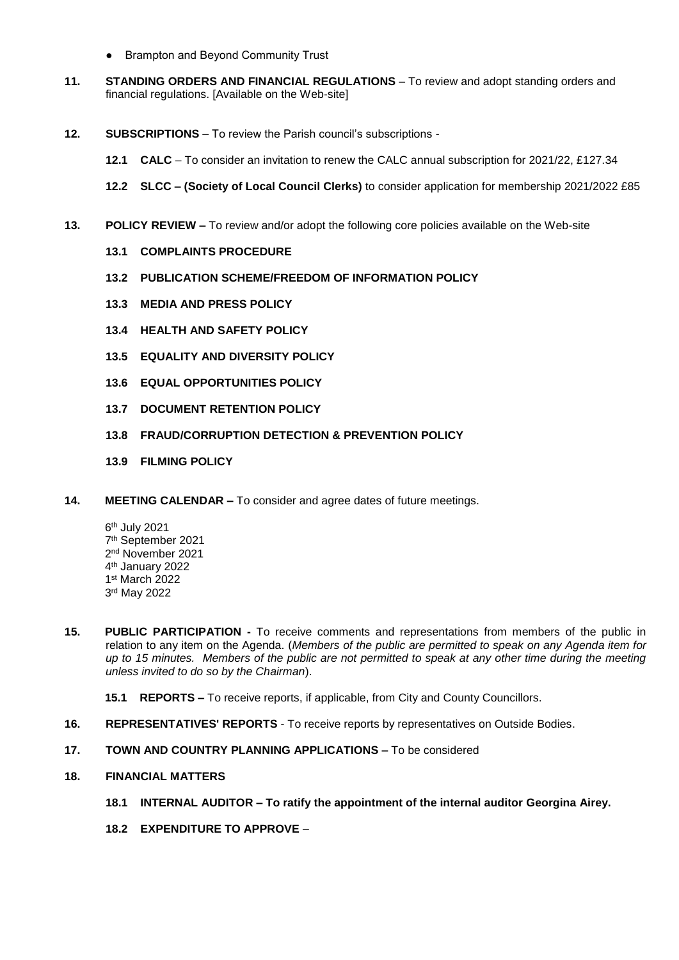- Brampton and Beyond Community Trust
- **11. STANDING ORDERS AND FINANCIAL REGULATIONS** To review and adopt standing orders and financial regulations. [Available on the Web-site]
- **12. SUBSCRIPTIONS** To review the Parish council's subscriptions
	- **12.1 CALC** To consider an invitation to renew the CALC annual subscription for 2021/22, £127.34
	- **12.2 SLCC – (Society of Local Council Clerks)** to consider application for membership 2021/2022 £85
- **13. POLICY REVIEW –** To review and/or adopt the following core policies available on the Web-site
	- **13.1 COMPLAINTS PROCEDURE**
	- **13.2 PUBLICATION SCHEME/FREEDOM OF INFORMATION POLICY**
	- **13.3 MEDIA AND PRESS POLICY**
	- **13.4 HEALTH AND SAFETY POLICY**
	- **13.5 EQUALITY AND DIVERSITY POLICY**
	- **13.6 EQUAL OPPORTUNITIES POLICY**
	- **13.7 DOCUMENT RETENTION POLICY**
	- **13.8 FRAUD/CORRUPTION DETECTION & PREVENTION POLICY**
	- **13.9 FILMING POLICY**
- **14. MEETING CALENDAR –** To consider and agree dates of future meetings.
	- 6 th July 2021 7 th September 2021 2 nd November 2021 4 th January 2022 1 st March 2022 3 rd May 2022
- **15. PUBLIC PARTICIPATION -** To receive comments and representations from members of the public in relation to any item on the Agenda. (*Members of the public are permitted to speak on any Agenda item for up to 15 minutes. Members of the public are not permitted to speak at any other time during the meeting unless invited to do so by the Chairman*).
	- **15.1 REPORTS –** To receive reports, if applicable, from City and County Councillors.
- **16. REPRESENTATIVES' REPORTS** To receive reports by representatives on Outside Bodies.
- **17. TOWN AND COUNTRY PLANNING APPLICATIONS –** To be considered
- **18. FINANCIAL MATTERS**
	- **18.1 INTERNAL AUDITOR – To ratify the appointment of the internal auditor Georgina Airey.**
	- **18.2 EXPENDITURE TO APPROVE** –